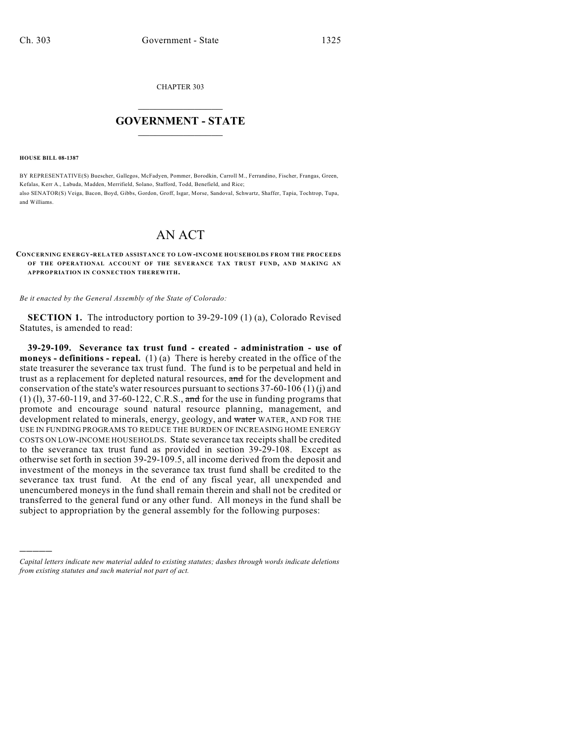CHAPTER 303

# $\mathcal{L}_\text{max}$  . The set of the set of the set of the set of the set of the set of the set of the set of the set of the set of the set of the set of the set of the set of the set of the set of the set of the set of the set **GOVERNMENT - STATE**  $\_$   $\_$   $\_$   $\_$   $\_$   $\_$   $\_$   $\_$   $\_$

**HOUSE BILL 08-1387**

)))))

BY REPRESENTATIVE(S) Buescher, Gallegos, McFadyen, Pommer, Borodkin, Carroll M., Ferrandino, Fischer, Frangas, Green, Kefalas, Kerr A., Labuda, Madden, Merrifield, Solano, Stafford, Todd, Benefield, and Rice; also SENATOR(S) Veiga, Bacon, Boyd, Gibbs, Gordon, Groff, Isgar, Morse, Sandoval, Schwartz, Shaffer, Tapia, Tochtrop, Tupa, and Williams.

## AN ACT

## **CONCERNING ENERGY-RELATED ASSISTANCE TO LOW-INCOME HOUSEHOLDS FROM THE PROCEEDS OF THE OPERATIONAL ACCOUNT OF THE SEVERANCE TAX TRUST FUND, AND MAKING AN APPROPRIATION IN CONNECTION THEREWITH.**

*Be it enacted by the General Assembly of the State of Colorado:*

**SECTION 1.** The introductory portion to 39-29-109 (1) (a), Colorado Revised Statutes, is amended to read:

**39-29-109. Severance tax trust fund - created - administration - use of moneys - definitions - repeal.** (1) (a) There is hereby created in the office of the state treasurer the severance tax trust fund. The fund is to be perpetual and held in trust as a replacement for depleted natural resources, and for the development and conservation of the state's water resources pursuant to sections  $37-60-106(1)(i)$  and  $(1)$  (1), 37-60-119, and 37-60-122, C.R.S., and for the use in funding programs that promote and encourage sound natural resource planning, management, and development related to minerals, energy, geology, and water WATER, AND FOR THE USE IN FUNDING PROGRAMS TO REDUCE THE BURDEN OF INCREASING HOME ENERGY COSTS ON LOW-INCOME HOUSEHOLDS. State severance tax receipts shall be credited to the severance tax trust fund as provided in section 39-29-108. Except as otherwise set forth in section 39-29-109.5, all income derived from the deposit and investment of the moneys in the severance tax trust fund shall be credited to the severance tax trust fund. At the end of any fiscal year, all unexpended and unencumbered moneys in the fund shall remain therein and shall not be credited or transferred to the general fund or any other fund. All moneys in the fund shall be subject to appropriation by the general assembly for the following purposes:

*Capital letters indicate new material added to existing statutes; dashes through words indicate deletions from existing statutes and such material not part of act.*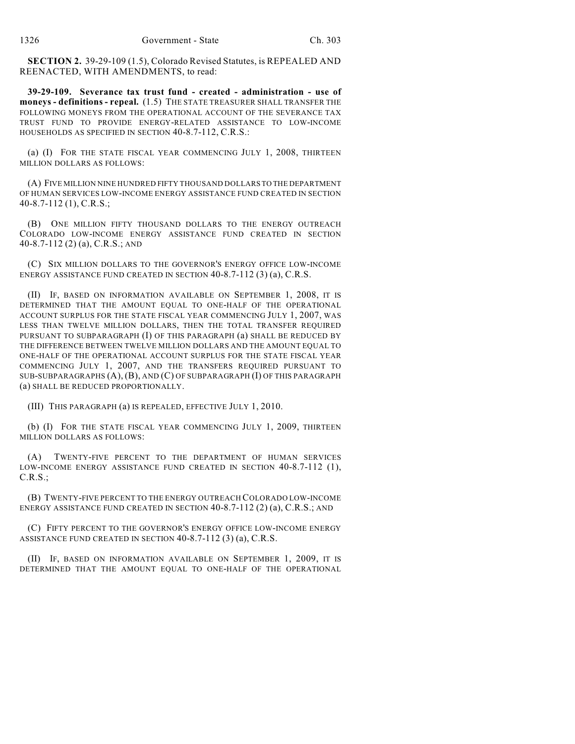**SECTION 2.** 39-29-109 (1.5), Colorado Revised Statutes, is REPEALED AND REENACTED, WITH AMENDMENTS, to read:

**39-29-109. Severance tax trust fund - created - administration - use of moneys - definitions - repeal.** (1.5) THE STATE TREASURER SHALL TRANSFER THE FOLLOWING MONEYS FROM THE OPERATIONAL ACCOUNT OF THE SEVERANCE TAX TRUST FUND TO PROVIDE ENERGY-RELATED ASSISTANCE TO LOW-INCOME HOUSEHOLDS AS SPECIFIED IN SECTION 40-8.7-112, C.R.S.:

(a) (I) FOR THE STATE FISCAL YEAR COMMENCING JULY 1, 2008, THIRTEEN MILLION DOLLARS AS FOLLOWS:

(A) FIVE MILLION NINE HUNDRED FIFTY THOUSAND DOLLARS TO THE DEPARTMENT OF HUMAN SERVICES LOW-INCOME ENERGY ASSISTANCE FUND CREATED IN SECTION 40-8.7-112 (1), C.R.S.;

(B) ONE MILLION FIFTY THOUSAND DOLLARS TO THE ENERGY OUTREACH COLORADO LOW-INCOME ENERGY ASSISTANCE FUND CREATED IN SECTION 40-8.7-112 (2) (a), C.R.S.; AND

(C) SIX MILLION DOLLARS TO THE GOVERNOR'S ENERGY OFFICE LOW-INCOME ENERGY ASSISTANCE FUND CREATED IN SECTION 40-8.7-112 (3) (a), C.R.S.

(II) IF, BASED ON INFORMATION AVAILABLE ON SEPTEMBER 1, 2008, IT IS DETERMINED THAT THE AMOUNT EQUAL TO ONE-HALF OF THE OPERATIONAL ACCOUNT SURPLUS FOR THE STATE FISCAL YEAR COMMENCING JULY 1, 2007, WAS LESS THAN TWELVE MILLION DOLLARS, THEN THE TOTAL TRANSFER REQUIRED PURSUANT TO SUBPARAGRAPH (I) OF THIS PARAGRAPH (a) SHALL BE REDUCED BY THE DIFFERENCE BETWEEN TWELVE MILLION DOLLARS AND THE AMOUNT EQUAL TO ONE-HALF OF THE OPERATIONAL ACCOUNT SURPLUS FOR THE STATE FISCAL YEAR COMMENCING JULY 1, 2007, AND THE TRANSFERS REQUIRED PURSUANT TO SUB-SUBPARAGRAPHS (A), (B), AND (C) OF SUBPARAGRAPH (I) OF THIS PARAGRAPH (a) SHALL BE REDUCED PROPORTIONALLY.

(III) THIS PARAGRAPH (a) IS REPEALED, EFFECTIVE JULY 1, 2010.

(b) (I) FOR THE STATE FISCAL YEAR COMMENCING JULY 1, 2009, THIRTEEN MILLION DOLLARS AS FOLLOWS:

(A) TWENTY-FIVE PERCENT TO THE DEPARTMENT OF HUMAN SERVICES LOW-INCOME ENERGY ASSISTANCE FUND CREATED IN SECTION 40-8.7-112 (1), C.R.S.;

(B) TWENTY-FIVE PERCENT TO THE ENERGY OUTREACH COLORADO LOW-INCOME ENERGY ASSISTANCE FUND CREATED IN SECTION  $40-8.7-112$  (2) (a), C.R.S.; AND

(C) FIFTY PERCENT TO THE GOVERNOR'S ENERGY OFFICE LOW-INCOME ENERGY ASSISTANCE FUND CREATED IN SECTION 40-8.7-112 (3) (a), C.R.S.

(II) IF, BASED ON INFORMATION AVAILABLE ON SEPTEMBER 1, 2009, IT IS DETERMINED THAT THE AMOUNT EQUAL TO ONE-HALF OF THE OPERATIONAL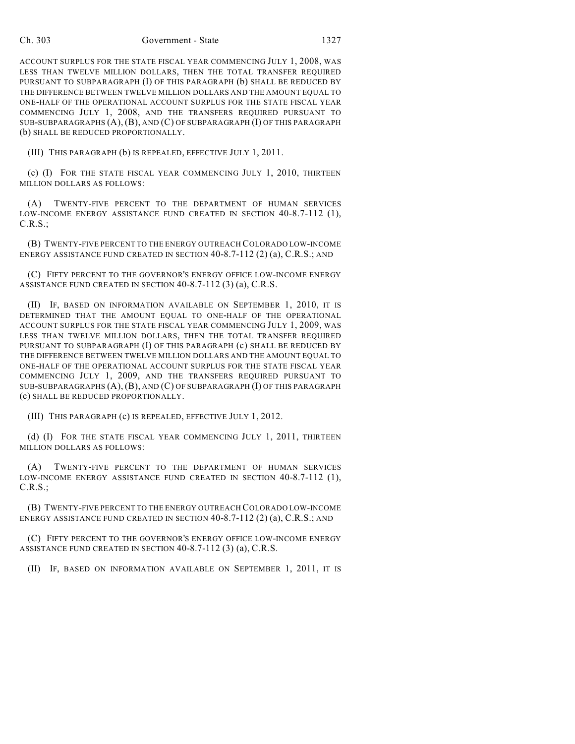### Ch. 303 Government - State 1327

ACCOUNT SURPLUS FOR THE STATE FISCAL YEAR COMMENCING JULY 1, 2008, WAS LESS THAN TWELVE MILLION DOLLARS, THEN THE TOTAL TRANSFER REQUIRED PURSUANT TO SUBPARAGRAPH (I) OF THIS PARAGRAPH (b) SHALL BE REDUCED BY THE DIFFERENCE BETWEEN TWELVE MILLION DOLLARS AND THE AMOUNT EQUAL TO ONE-HALF OF THE OPERATIONAL ACCOUNT SURPLUS FOR THE STATE FISCAL YEAR COMMENCING JULY 1, 2008, AND THE TRANSFERS REQUIRED PURSUANT TO SUB-SUBPARAGRAPHS (A), (B), AND (C) OF SUBPARAGRAPH (I) OF THIS PARAGRAPH (b) SHALL BE REDUCED PROPORTIONALLY.

(III) THIS PARAGRAPH (b) IS REPEALED, EFFECTIVE JULY 1, 2011.

(c) (I) FOR THE STATE FISCAL YEAR COMMENCING JULY 1, 2010, THIRTEEN MILLION DOLLARS AS FOLLOWS:

(A) TWENTY-FIVE PERCENT TO THE DEPARTMENT OF HUMAN SERVICES LOW-INCOME ENERGY ASSISTANCE FUND CREATED IN SECTION 40-8.7-112 (1), C.R.S.;

(B) TWENTY-FIVE PERCENT TO THE ENERGY OUTREACH COLORADO LOW-INCOME ENERGY ASSISTANCE FUND CREATED IN SECTION 40-8.7-112 (2) (a), C.R.S.; AND

(C) FIFTY PERCENT TO THE GOVERNOR'S ENERGY OFFICE LOW-INCOME ENERGY ASSISTANCE FUND CREATED IN SECTION 40-8.7-112 (3) (a), C.R.S.

(II) IF, BASED ON INFORMATION AVAILABLE ON SEPTEMBER 1, 2010, IT IS DETERMINED THAT THE AMOUNT EQUAL TO ONE-HALF OF THE OPERATIONAL ACCOUNT SURPLUS FOR THE STATE FISCAL YEAR COMMENCING JULY 1, 2009, WAS LESS THAN TWELVE MILLION DOLLARS, THEN THE TOTAL TRANSFER REQUIRED PURSUANT TO SUBPARAGRAPH (I) OF THIS PARAGRAPH (c) SHALL BE REDUCED BY THE DIFFERENCE BETWEEN TWELVE MILLION DOLLARS AND THE AMOUNT EQUAL TO ONE-HALF OF THE OPERATIONAL ACCOUNT SURPLUS FOR THE STATE FISCAL YEAR COMMENCING JULY 1, 2009, AND THE TRANSFERS REQUIRED PURSUANT TO SUB-SUBPARAGRAPHS (A), (B), AND (C) OF SUBPARAGRAPH (I) OF THIS PARAGRAPH (c) SHALL BE REDUCED PROPORTIONALLY.

(III) THIS PARAGRAPH (c) IS REPEALED, EFFECTIVE JULY 1, 2012.

(d) (I) FOR THE STATE FISCAL YEAR COMMENCING JULY 1, 2011, THIRTEEN MILLION DOLLARS AS FOLLOWS:

(A) TWENTY-FIVE PERCENT TO THE DEPARTMENT OF HUMAN SERVICES LOW-INCOME ENERGY ASSISTANCE FUND CREATED IN SECTION 40-8.7-112 (1), C.R.S.;

(B) TWENTY-FIVE PERCENT TO THE ENERGY OUTREACH COLORADO LOW-INCOME ENERGY ASSISTANCE FUND CREATED IN SECTION  $40-8.7-112$  (2) (a), C.R.S.; AND

(C) FIFTY PERCENT TO THE GOVERNOR'S ENERGY OFFICE LOW-INCOME ENERGY ASSISTANCE FUND CREATED IN SECTION 40-8.7-112 (3) (a), C.R.S.

(II) IF, BASED ON INFORMATION AVAILABLE ON SEPTEMBER 1, 2011, IT IS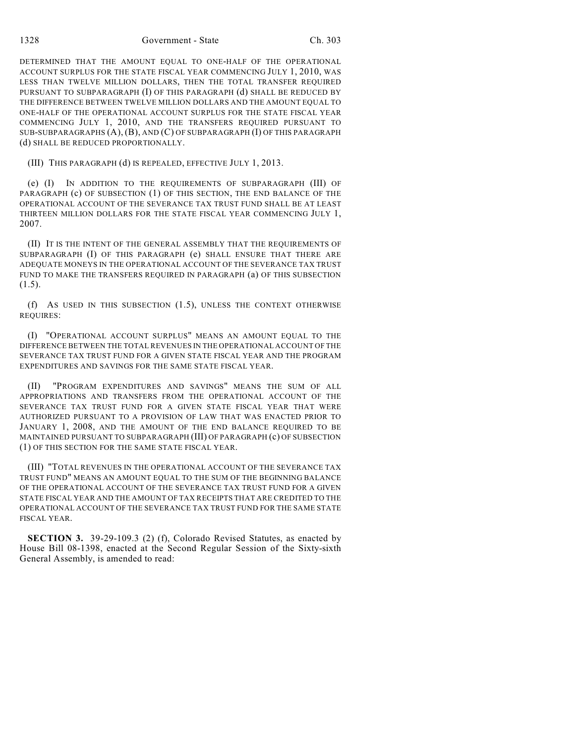1328 Government - State Ch. 303

DETERMINED THAT THE AMOUNT EQUAL TO ONE-HALF OF THE OPERATIONAL ACCOUNT SURPLUS FOR THE STATE FISCAL YEAR COMMENCING JULY 1, 2010, WAS LESS THAN TWELVE MILLION DOLLARS, THEN THE TOTAL TRANSFER REQUIRED PURSUANT TO SUBPARAGRAPH (I) OF THIS PARAGRAPH (d) SHALL BE REDUCED BY THE DIFFERENCE BETWEEN TWELVE MILLION DOLLARS AND THE AMOUNT EQUAL TO ONE-HALF OF THE OPERATIONAL ACCOUNT SURPLUS FOR THE STATE FISCAL YEAR COMMENCING JULY 1, 2010, AND THE TRANSFERS REQUIRED PURSUANT TO SUB-SUBPARAGRAPHS (A), (B), AND (C) OF SUBPARAGRAPH (I) OF THIS PARAGRAPH (d) SHALL BE REDUCED PROPORTIONALLY.

(III) THIS PARAGRAPH (d) IS REPEALED, EFFECTIVE JULY 1, 2013.

(e) (I) IN ADDITION TO THE REQUIREMENTS OF SUBPARAGRAPH (III) OF PARAGRAPH (c) OF SUBSECTION (1) OF THIS SECTION, THE END BALANCE OF THE OPERATIONAL ACCOUNT OF THE SEVERANCE TAX TRUST FUND SHALL BE AT LEAST THIRTEEN MILLION DOLLARS FOR THE STATE FISCAL YEAR COMMENCING JULY 1, 2007.

(II) IT IS THE INTENT OF THE GENERAL ASSEMBLY THAT THE REQUIREMENTS OF SUBPARAGRAPH (I) OF THIS PARAGRAPH (e) SHALL ENSURE THAT THERE ARE ADEQUATE MONEYS IN THE OPERATIONAL ACCOUNT OF THE SEVERANCE TAX TRUST FUND TO MAKE THE TRANSFERS REQUIRED IN PARAGRAPH (a) OF THIS SUBSECTION  $(1.5).$ 

(f) AS USED IN THIS SUBSECTION (1.5), UNLESS THE CONTEXT OTHERWISE REQUIRES:

(I) "OPERATIONAL ACCOUNT SURPLUS" MEANS AN AMOUNT EQUAL TO THE DIFFERENCE BETWEEN THE TOTAL REVENUES IN THE OPERATIONAL ACCOUNT OF THE SEVERANCE TAX TRUST FUND FOR A GIVEN STATE FISCAL YEAR AND THE PROGRAM EXPENDITURES AND SAVINGS FOR THE SAME STATE FISCAL YEAR.

(II) "PROGRAM EXPENDITURES AND SAVINGS" MEANS THE SUM OF ALL APPROPRIATIONS AND TRANSFERS FROM THE OPERATIONAL ACCOUNT OF THE SEVERANCE TAX TRUST FUND FOR A GIVEN STATE FISCAL YEAR THAT WERE AUTHORIZED PURSUANT TO A PROVISION OF LAW THAT WAS ENACTED PRIOR TO JANUARY 1, 2008, AND THE AMOUNT OF THE END BALANCE REQUIRED TO BE MAINTAINED PURSUANT TO SUBPARAGRAPH (III) OF PARAGRAPH (c) OF SUBSECTION (1) OF THIS SECTION FOR THE SAME STATE FISCAL YEAR.

(III) "TOTAL REVENUES IN THE OPERATIONAL ACCOUNT OF THE SEVERANCE TAX TRUST FUND" MEANS AN AMOUNT EQUAL TO THE SUM OF THE BEGINNING BALANCE OF THE OPERATIONAL ACCOUNT OF THE SEVERANCE TAX TRUST FUND FOR A GIVEN STATE FISCAL YEAR AND THE AMOUNT OF TAX RECEIPTS THAT ARE CREDITED TO THE OPERATIONAL ACCOUNT OF THE SEVERANCE TAX TRUST FUND FOR THE SAME STATE FISCAL YEAR.

**SECTION 3.** 39-29-109.3 (2) (f), Colorado Revised Statutes, as enacted by House Bill 08-1398, enacted at the Second Regular Session of the Sixty-sixth General Assembly, is amended to read: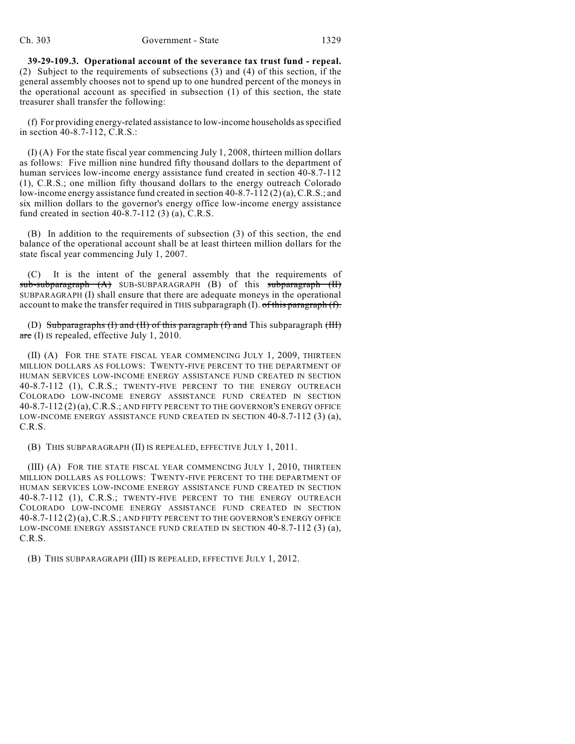**39-29-109.3. Operational account of the severance tax trust fund - repeal.** (2) Subject to the requirements of subsections (3) and (4) of this section, if the general assembly chooses not to spend up to one hundred percent of the moneys in the operational account as specified in subsection (1) of this section, the state treasurer shall transfer the following:

(f) For providing energy-related assistance to low-income households as specified in section 40-8.7-112, C.R.S.:

(I) (A) For the state fiscal year commencing July 1, 2008, thirteen million dollars as follows: Five million nine hundred fifty thousand dollars to the department of human services low-income energy assistance fund created in section 40-8.7-112 (1), C.R.S.; one million fifty thousand dollars to the energy outreach Colorado low-income energy assistance fund created in section 40-8.7-112 (2) (a), C.R.S.; and six million dollars to the governor's energy office low-income energy assistance fund created in section 40-8.7-112 (3) (a), C.R.S.

(B) In addition to the requirements of subsection (3) of this section, the end balance of the operational account shall be at least thirteen million dollars for the state fiscal year commencing July 1, 2007.

It is the intent of the general assembly that the requirements of  $sub-subparagraph$   $(A)$  SUB-SUBPARAGRAPH  $(B)$  of this subparagraph  $(H)$ SUBPARAGRAPH (I) shall ensure that there are adequate moneys in the operational account to make the transfer required in THIS subparagraph  $(I)$ . of this paragraph  $(f)$ .

(D) Subparagraphs (I) and (II) of this paragraph (f) and This subparagraph (III) are (I) Is repealed, effective July 1, 2010.

(II) (A) FOR THE STATE FISCAL YEAR COMMENCING JULY 1, 2009, THIRTEEN MILLION DOLLARS AS FOLLOWS: TWENTY-FIVE PERCENT TO THE DEPARTMENT OF HUMAN SERVICES LOW-INCOME ENERGY ASSISTANCE FUND CREATED IN SECTION 40-8.7-112 (1), C.R.S.; TWENTY-FIVE PERCENT TO THE ENERGY OUTREACH COLORADO LOW-INCOME ENERGY ASSISTANCE FUND CREATED IN SECTION 40-8.7-112 (2) (a), C.R.S.; AND FIFTY PERCENT TO THE GOVERNOR'S ENERGY OFFICE LOW-INCOME ENERGY ASSISTANCE FUND CREATED IN SECTION 40-8.7-112 (3) (a), C.R.S.

(B) THIS SUBPARAGRAPH (II) IS REPEALED, EFFECTIVE JULY 1, 2011.

(III) (A) FOR THE STATE FISCAL YEAR COMMENCING JULY 1, 2010, THIRTEEN MILLION DOLLARS AS FOLLOWS: TWENTY-FIVE PERCENT TO THE DEPARTMENT OF HUMAN SERVICES LOW-INCOME ENERGY ASSISTANCE FUND CREATED IN SECTION 40-8.7-112 (1), C.R.S.; TWENTY-FIVE PERCENT TO THE ENERGY OUTREACH COLORADO LOW-INCOME ENERGY ASSISTANCE FUND CREATED IN SECTION 40-8.7-112 (2) (a), C.R.S.; AND FIFTY PERCENT TO THE GOVERNOR'S ENERGY OFFICE LOW-INCOME ENERGY ASSISTANCE FUND CREATED IN SECTION 40-8.7-112 (3) (a), C.R.S.

(B) THIS SUBPARAGRAPH (III) IS REPEALED, EFFECTIVE JULY 1, 2012.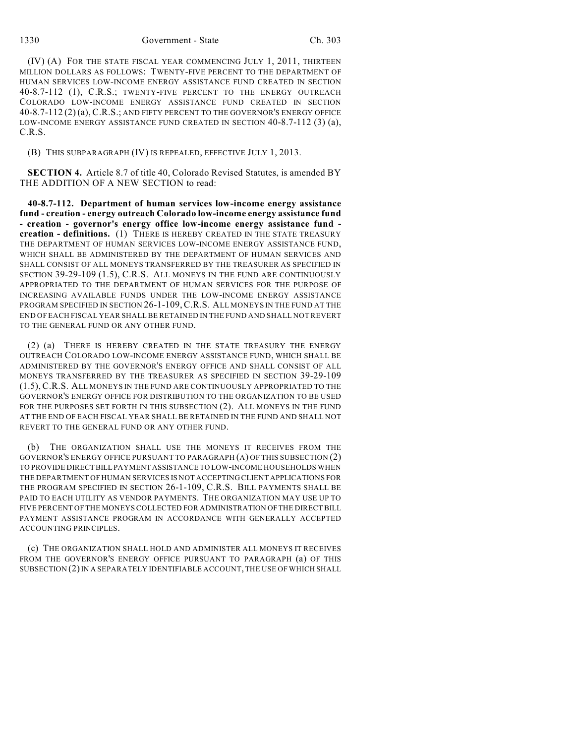1330 Government - State Ch. 303

(IV) (A) FOR THE STATE FISCAL YEAR COMMENCING JULY 1, 2011, THIRTEEN MILLION DOLLARS AS FOLLOWS: TWENTY-FIVE PERCENT TO THE DEPARTMENT OF HUMAN SERVICES LOW-INCOME ENERGY ASSISTANCE FUND CREATED IN SECTION 40-8.7-112 (1), C.R.S.; TWENTY-FIVE PERCENT TO THE ENERGY OUTREACH COLORADO LOW-INCOME ENERGY ASSISTANCE FUND CREATED IN SECTION 40-8.7-112 (2) (a), C.R.S.; AND FIFTY PERCENT TO THE GOVERNOR'S ENERGY OFFICE LOW-INCOME ENERGY ASSISTANCE FUND CREATED IN SECTION 40-8.7-112 (3) (a), C.R.S.

(B) THIS SUBPARAGRAPH (IV) IS REPEALED, EFFECTIVE JULY 1, 2013.

**SECTION 4.** Article 8.7 of title 40, Colorado Revised Statutes, is amended BY THE ADDITION OF A NEW SECTION to read:

**40-8.7-112. Department of human services low-income energy assistance fund - creation - energy outreach Colorado low-income energy assistance fund - creation - governor's energy office low-income energy assistance fund creation - definitions.** (1) THERE IS HEREBY CREATED IN THE STATE TREASURY THE DEPARTMENT OF HUMAN SERVICES LOW-INCOME ENERGY ASSISTANCE FUND, WHICH SHALL BE ADMINISTERED BY THE DEPARTMENT OF HUMAN SERVICES AND SHALL CONSIST OF ALL MONEYS TRANSFERRED BY THE TREASURER AS SPECIFIED IN SECTION 39-29-109 (1.5), C.R.S. ALL MONEYS IN THE FUND ARE CONTINUOUSLY APPROPRIATED TO THE DEPARTMENT OF HUMAN SERVICES FOR THE PURPOSE OF INCREASING AVAILABLE FUNDS UNDER THE LOW-INCOME ENERGY ASSISTANCE PROGRAM SPECIFIED IN SECTION 26-1-109,C.R.S. ALL MONEYS IN THE FUND AT THE END OF EACH FISCAL YEAR SHALL BE RETAINED IN THE FUND AND SHALL NOT REVERT TO THE GENERAL FUND OR ANY OTHER FUND.

(2) (a) THERE IS HEREBY CREATED IN THE STATE TREASURY THE ENERGY OUTREACH COLORADO LOW-INCOME ENERGY ASSISTANCE FUND, WHICH SHALL BE ADMINISTERED BY THE GOVERNOR'S ENERGY OFFICE AND SHALL CONSIST OF ALL MONEYS TRANSFERRED BY THE TREASURER AS SPECIFIED IN SECTION 39-29-109 (1.5), C.R.S. ALL MONEYS IN THE FUND ARE CONTINUOUSLY APPROPRIATED TO THE GOVERNOR'S ENERGY OFFICE FOR DISTRIBUTION TO THE ORGANIZATION TO BE USED FOR THE PURPOSES SET FORTH IN THIS SUBSECTION (2). ALL MONEYS IN THE FUND AT THE END OF EACH FISCAL YEAR SHALL BE RETAINED IN THE FUND AND SHALL NOT REVERT TO THE GENERAL FUND OR ANY OTHER FUND.

(b) THE ORGANIZATION SHALL USE THE MONEYS IT RECEIVES FROM THE GOVERNOR'S ENERGY OFFICE PURSUANT TO PARAGRAPH (A) OF THIS SUBSECTION (2) TO PROVIDE DIRECT BILL PAYMENT ASSISTANCE TO LOW-INCOME HOUSEHOLDS WHEN THE DEPARTMENT OF HUMAN SERVICES IS NOT ACCEPTING CLIENT APPLICATIONS FOR THE PROGRAM SPECIFIED IN SECTION 26-1-109, C.R.S. BILL PAYMENTS SHALL BE PAID TO EACH UTILITY AS VENDOR PAYMENTS. THE ORGANIZATION MAY USE UP TO FIVE PERCENT OF THE MONEYS COLLECTED FOR ADMINISTRATION OF THE DIRECT BILL PAYMENT ASSISTANCE PROGRAM IN ACCORDANCE WITH GENERALLY ACCEPTED ACCOUNTING PRINCIPLES.

(c) THE ORGANIZATION SHALL HOLD AND ADMINISTER ALL MONEYS IT RECEIVES FROM THE GOVERNOR'S ENERGY OFFICE PURSUANT TO PARAGRAPH (a) OF THIS SUBSECTION (2) IN A SEPARATELY IDENTIFIABLE ACCOUNT, THE USE OF WHICH SHALL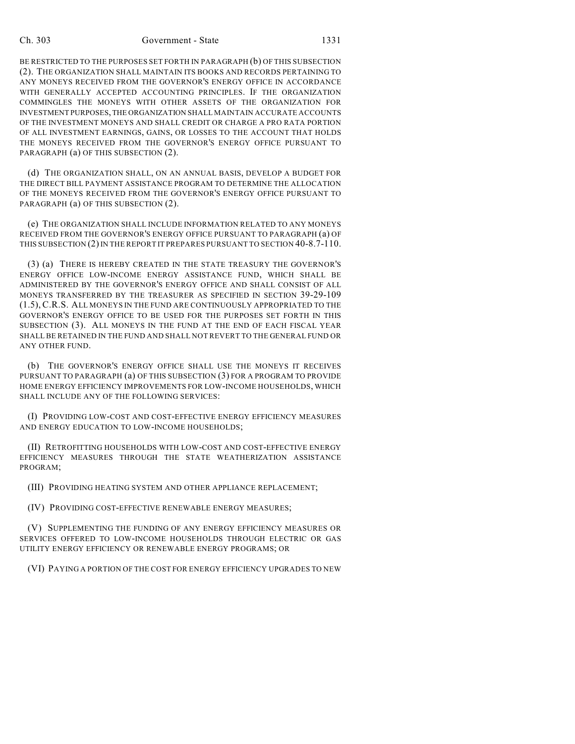### Ch. 303 Government - State 1331

BE RESTRICTED TO THE PURPOSES SET FORTH IN PARAGRAPH (b) OF THIS SUBSECTION (2). THE ORGANIZATION SHALL MAINTAIN ITS BOOKS AND RECORDS PERTAINING TO ANY MONEYS RECEIVED FROM THE GOVERNOR'S ENERGY OFFICE IN ACCORDANCE WITH GENERALLY ACCEPTED ACCOUNTING PRINCIPLES. IF THE ORGANIZATION COMMINGLES THE MONEYS WITH OTHER ASSETS OF THE ORGANIZATION FOR INVESTMENT PURPOSES, THE ORGANIZATION SHALL MAINTAIN ACCURATE ACCOUNTS OF THE INVESTMENT MONEYS AND SHALL CREDIT OR CHARGE A PRO RATA PORTION OF ALL INVESTMENT EARNINGS, GAINS, OR LOSSES TO THE ACCOUNT THAT HOLDS THE MONEYS RECEIVED FROM THE GOVERNOR'S ENERGY OFFICE PURSUANT TO PARAGRAPH (a) OF THIS SUBSECTION (2).

(d) THE ORGANIZATION SHALL, ON AN ANNUAL BASIS, DEVELOP A BUDGET FOR THE DIRECT BILL PAYMENT ASSISTANCE PROGRAM TO DETERMINE THE ALLOCATION OF THE MONEYS RECEIVED FROM THE GOVERNOR'S ENERGY OFFICE PURSUANT TO PARAGRAPH (a) OF THIS SUBSECTION (2).

(e) THE ORGANIZATION SHALL INCLUDE INFORMATION RELATED TO ANY MONEYS RECEIVED FROM THE GOVERNOR'S ENERGY OFFICE PURSUANT TO PARAGRAPH (a) OF THIS SUBSECTION (2) IN THE REPORT IT PREPARES PURSUANT TO SECTION 40-8.7-110.

(3) (a) THERE IS HEREBY CREATED IN THE STATE TREASURY THE GOVERNOR'S ENERGY OFFICE LOW-INCOME ENERGY ASSISTANCE FUND, WHICH SHALL BE ADMINISTERED BY THE GOVERNOR'S ENERGY OFFICE AND SHALL CONSIST OF ALL MONEYS TRANSFERRED BY THE TREASURER AS SPECIFIED IN SECTION 39-29-109 (1.5), C.R.S. ALL MONEYS IN THE FUND ARE CONTINUOUSLY APPROPRIATED TO THE GOVERNOR'S ENERGY OFFICE TO BE USED FOR THE PURPOSES SET FORTH IN THIS SUBSECTION (3). ALL MONEYS IN THE FUND AT THE END OF EACH FISCAL YEAR SHALL BE RETAINED IN THE FUND AND SHALL NOT REVERT TO THE GENERAL FUND OR ANY OTHER FUND.

(b) THE GOVERNOR'S ENERGY OFFICE SHALL USE THE MONEYS IT RECEIVES PURSUANT TO PARAGRAPH (a) OF THIS SUBSECTION (3) FOR A PROGRAM TO PROVIDE HOME ENERGY EFFICIENCY IMPROVEMENTS FOR LOW-INCOME HOUSEHOLDS, WHICH SHALL INCLUDE ANY OF THE FOLLOWING SERVICES:

(I) PROVIDING LOW-COST AND COST-EFFECTIVE ENERGY EFFICIENCY MEASURES AND ENERGY EDUCATION TO LOW-INCOME HOUSEHOLDS;

(II) RETROFITTING HOUSEHOLDS WITH LOW-COST AND COST-EFFECTIVE ENERGY EFFICIENCY MEASURES THROUGH THE STATE WEATHERIZATION ASSISTANCE PROGRAM;

(III) PROVIDING HEATING SYSTEM AND OTHER APPLIANCE REPLACEMENT;

(IV) PROVIDING COST-EFFECTIVE RENEWABLE ENERGY MEASURES;

(V) SUPPLEMENTING THE FUNDING OF ANY ENERGY EFFICIENCY MEASURES OR SERVICES OFFERED TO LOW-INCOME HOUSEHOLDS THROUGH ELECTRIC OR GAS UTILITY ENERGY EFFICIENCY OR RENEWABLE ENERGY PROGRAMS; OR

(VI) PAYING A PORTION OF THE COST FOR ENERGY EFFICIENCY UPGRADES TO NEW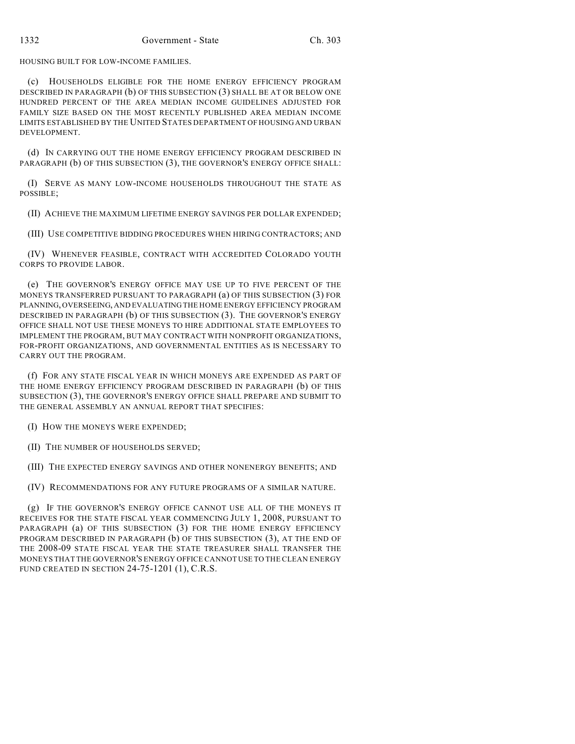HOUSING BUILT FOR LOW-INCOME FAMILIES.

(c) HOUSEHOLDS ELIGIBLE FOR THE HOME ENERGY EFFICIENCY PROGRAM DESCRIBED IN PARAGRAPH (b) OF THIS SUBSECTION (3) SHALL BE AT OR BELOW ONE HUNDRED PERCENT OF THE AREA MEDIAN INCOME GUIDELINES ADJUSTED FOR FAMILY SIZE BASED ON THE MOST RECENTLY PUBLISHED AREA MEDIAN INCOME LIMITS ESTABLISHED BY THE UNITED STATES DEPARTMENT OF HOUSING AND URBAN DEVELOPMENT.

(d) IN CARRYING OUT THE HOME ENERGY EFFICIENCY PROGRAM DESCRIBED IN PARAGRAPH (b) OF THIS SUBSECTION (3), THE GOVERNOR'S ENERGY OFFICE SHALL:

(I) SERVE AS MANY LOW-INCOME HOUSEHOLDS THROUGHOUT THE STATE AS POSSIBLE;

(II) ACHIEVE THE MAXIMUM LIFETIME ENERGY SAVINGS PER DOLLAR EXPENDED;

(III) USE COMPETITIVE BIDDING PROCEDURES WHEN HIRING CONTRACTORS; AND

(IV) WHENEVER FEASIBLE, CONTRACT WITH ACCREDITED COLORADO YOUTH CORPS TO PROVIDE LABOR.

(e) THE GOVERNOR'S ENERGY OFFICE MAY USE UP TO FIVE PERCENT OF THE MONEYS TRANSFERRED PURSUANT TO PARAGRAPH (a) OF THIS SUBSECTION (3) FOR PLANNING, OVERSEEING, AND EVALUATING THE HOME ENERGY EFFICIENCY PROGRAM DESCRIBED IN PARAGRAPH (b) OF THIS SUBSECTION (3). THE GOVERNOR'S ENERGY OFFICE SHALL NOT USE THESE MONEYS TO HIRE ADDITIONAL STATE EMPLOYEES TO IMPLEMENT THE PROGRAM, BUT MAY CONTRACT WITH NONPROFIT ORGANIZATIONS, FOR-PROFIT ORGANIZATIONS, AND GOVERNMENTAL ENTITIES AS IS NECESSARY TO CARRY OUT THE PROGRAM.

(f) FOR ANY STATE FISCAL YEAR IN WHICH MONEYS ARE EXPENDED AS PART OF THE HOME ENERGY EFFICIENCY PROGRAM DESCRIBED IN PARAGRAPH (b) OF THIS SUBSECTION (3), THE GOVERNOR'S ENERGY OFFICE SHALL PREPARE AND SUBMIT TO THE GENERAL ASSEMBLY AN ANNUAL REPORT THAT SPECIFIES:

(I) HOW THE MONEYS WERE EXPENDED;

(II) THE NUMBER OF HOUSEHOLDS SERVED;

(III) THE EXPECTED ENERGY SAVINGS AND OTHER NONENERGY BENEFITS; AND

(IV) RECOMMENDATIONS FOR ANY FUTURE PROGRAMS OF A SIMILAR NATURE.

(g) IF THE GOVERNOR'S ENERGY OFFICE CANNOT USE ALL OF THE MONEYS IT RECEIVES FOR THE STATE FISCAL YEAR COMMENCING JULY 1, 2008, PURSUANT TO PARAGRAPH (a) OF THIS SUBSECTION (3) FOR THE HOME ENERGY EFFICIENCY PROGRAM DESCRIBED IN PARAGRAPH (b) OF THIS SUBSECTION (3), AT THE END OF THE 2008-09 STATE FISCAL YEAR THE STATE TREASURER SHALL TRANSFER THE MONEYS THAT THE GOVERNOR'S ENERGY OFFICE CANNOT USE TO THE CLEAN ENERGY FUND CREATED IN SECTION 24-75-1201 (1), C.R.S.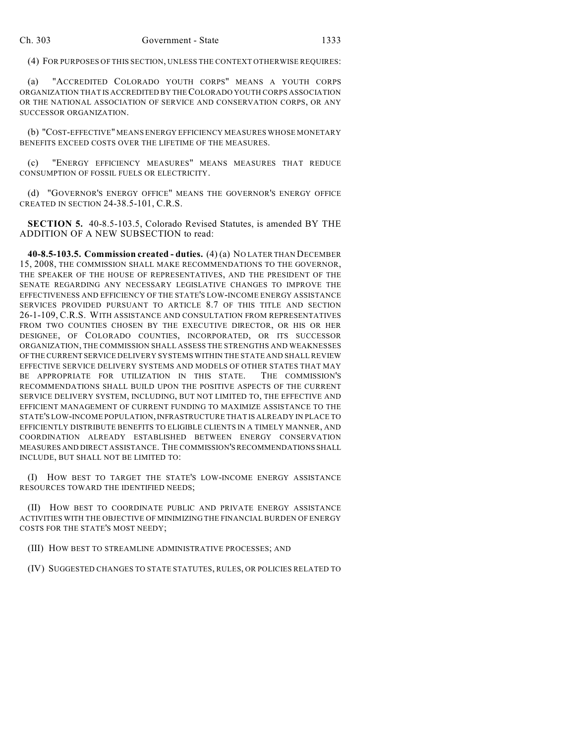(4) FOR PURPOSES OF THIS SECTION, UNLESS THE CONTEXT OTHERWISE REQUIRES:

(a) "ACCREDITED COLORADO YOUTH CORPS" MEANS A YOUTH CORPS ORGANIZATION THAT IS ACCREDITED BY THE COLORADO YOUTH CORPS ASSOCIATION OR THE NATIONAL ASSOCIATION OF SERVICE AND CONSERVATION CORPS, OR ANY SUCCESSOR ORGANIZATION.

(b) "COST-EFFECTIVE" MEANS ENERGY EFFICIENCY MEASURES WHOSE MONETARY BENEFITS EXCEED COSTS OVER THE LIFETIME OF THE MEASURES.

(c) "ENERGY EFFICIENCY MEASURES" MEANS MEASURES THAT REDUCE CONSUMPTION OF FOSSIL FUELS OR ELECTRICITY.

(d) "GOVERNOR'S ENERGY OFFICE" MEANS THE GOVERNOR'S ENERGY OFFICE CREATED IN SECTION 24-38.5-101, C.R.S.

**SECTION 5.** 40-8.5-103.5, Colorado Revised Statutes, is amended BY THE ADDITION OF A NEW SUBSECTION to read:

**40-8.5-103.5. Commission created - duties.** (4) (a) NO LATER THAN DECEMBER 15, 2008, THE COMMISSION SHALL MAKE RECOMMENDATIONS TO THE GOVERNOR, THE SPEAKER OF THE HOUSE OF REPRESENTATIVES, AND THE PRESIDENT OF THE SENATE REGARDING ANY NECESSARY LEGISLATIVE CHANGES TO IMPROVE THE EFFECTIVENESS AND EFFICIENCY OF THE STATE'S LOW-INCOME ENERGY ASSISTANCE SERVICES PROVIDED PURSUANT TO ARTICLE 8.7 OF THIS TITLE AND SECTION 26-1-109, C.R.S. WITH ASSISTANCE AND CONSULTATION FROM REPRESENTATIVES FROM TWO COUNTIES CHOSEN BY THE EXECUTIVE DIRECTOR, OR HIS OR HER DESIGNEE, OF COLORADO COUNTIES, INCORPORATED, OR ITS SUCCESSOR ORGANIZATION, THE COMMISSION SHALL ASSESS THE STRENGTHS AND WEAKNESSES OF THE CURRENT SERVICE DELIVERY SYSTEMS WITHIN THE STATE AND SHALL REVIEW EFFECTIVE SERVICE DELIVERY SYSTEMS AND MODELS OF OTHER STATES THAT MAY BE APPROPRIATE FOR UTILIZATION IN THIS STATE. THE COMMISSION'S RECOMMENDATIONS SHALL BUILD UPON THE POSITIVE ASPECTS OF THE CURRENT SERVICE DELIVERY SYSTEM, INCLUDING, BUT NOT LIMITED TO, THE EFFECTIVE AND EFFICIENT MANAGEMENT OF CURRENT FUNDING TO MAXIMIZE ASSISTANCE TO THE STATE'S LOW-INCOME POPULATION, INFRASTRUCTURE THAT IS ALREADY IN PLACE TO EFFICIENTLY DISTRIBUTE BENEFITS TO ELIGIBLE CLIENTS IN A TIMELY MANNER, AND COORDINATION ALREADY ESTABLISHED BETWEEN ENERGY CONSERVATION MEASURES AND DIRECT ASSISTANCE. THE COMMISSION'S RECOMMENDATIONS SHALL INCLUDE, BUT SHALL NOT BE LIMITED TO:

(I) HOW BEST TO TARGET THE STATE'S LOW-INCOME ENERGY ASSISTANCE RESOURCES TOWARD THE IDENTIFIED NEEDS;

(II) HOW BEST TO COORDINATE PUBLIC AND PRIVATE ENERGY ASSISTANCE ACTIVITIES WITH THE OBJECTIVE OF MINIMIZING THE FINANCIAL BURDEN OF ENERGY COSTS FOR THE STATE'S MOST NEEDY;

(III) HOW BEST TO STREAMLINE ADMINISTRATIVE PROCESSES; AND

(IV) SUGGESTED CHANGES TO STATE STATUTES, RULES, OR POLICIES RELATED TO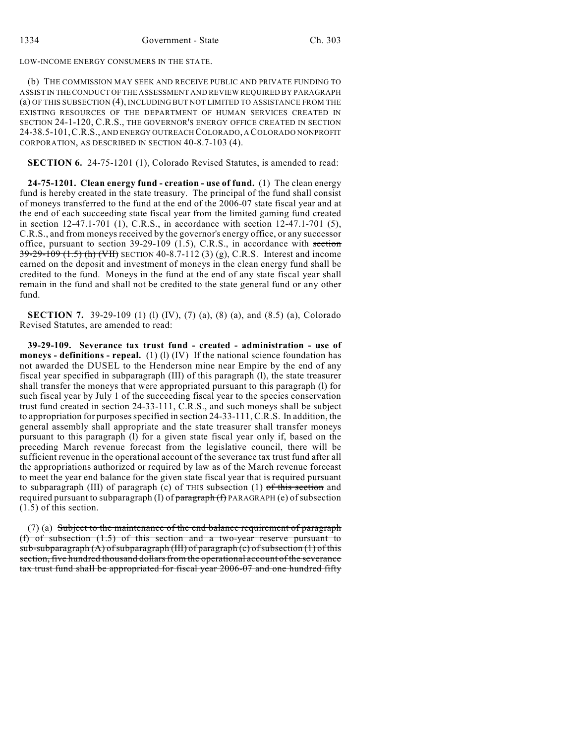LOW-INCOME ENERGY CONSUMERS IN THE STATE.

(b) THE COMMISSION MAY SEEK AND RECEIVE PUBLIC AND PRIVATE FUNDING TO ASSIST IN THE CONDUCT OF THE ASSESSMENT AND REVIEW REQUIRED BY PARAGRAPH (a) OF THIS SUBSECTION (4), INCLUDING BUT NOT LIMITED TO ASSISTANCE FROM THE EXISTING RESOURCES OF THE DEPARTMENT OF HUMAN SERVICES CREATED IN SECTION 24-1-120, C.R.S., THE GOVERNOR'S ENERGY OFFICE CREATED IN SECTION 24-38.5-101,C.R.S., AND ENERGY OUTREACH COLORADO, A COLORADO NONPROFIT CORPORATION, AS DESCRIBED IN SECTION 40-8.7-103 (4).

**SECTION 6.** 24-75-1201 (1), Colorado Revised Statutes, is amended to read:

**24-75-1201. Clean energy fund - creation - use of fund.** (1) The clean energy fund is hereby created in the state treasury. The principal of the fund shall consist of moneys transferred to the fund at the end of the 2006-07 state fiscal year and at the end of each succeeding state fiscal year from the limited gaming fund created in section 12-47.1-701 (1), C.R.S., in accordance with section 12-47.1-701 (5), C.R.S., and from moneys received by the governor's energy office, or any successor office, pursuant to section 39-29-109 (1.5), C.R.S., in accordance with section  $39-29-109$  (1.5) (h) (VH) SECTION 40-8.7-112 (3) (g), C.R.S. Interest and income earned on the deposit and investment of moneys in the clean energy fund shall be credited to the fund. Moneys in the fund at the end of any state fiscal year shall remain in the fund and shall not be credited to the state general fund or any other fund.

**SECTION 7.** 39-29-109 (1) (1) (IV), (7) (a), (8) (a), and (8.5) (a), Colorado Revised Statutes, are amended to read:

**39-29-109. Severance tax trust fund - created - administration - use of moneys - definitions - repeal.** (1) (1) (IV) If the national science foundation has not awarded the DUSEL to the Henderson mine near Empire by the end of any fiscal year specified in subparagraph (III) of this paragraph (l), the state treasurer shall transfer the moneys that were appropriated pursuant to this paragraph (l) for such fiscal year by July 1 of the succeeding fiscal year to the species conservation trust fund created in section 24-33-111, C.R.S., and such moneys shall be subject to appropriation for purposes specified in section 24-33-111, C.R.S. In addition, the general assembly shall appropriate and the state treasurer shall transfer moneys pursuant to this paragraph (l) for a given state fiscal year only if, based on the preceding March revenue forecast from the legislative council, there will be sufficient revenue in the operational account of the severance tax trust fund after all the appropriations authorized or required by law as of the March revenue forecast to meet the year end balance for the given state fiscal year that is required pursuant to subparagraph (III) of paragraph (c) of THIS subsection (1)  $of this section$  and required pursuant to subparagraph (I) of  $\frac{1}{2}$  paragraph (f) PARAGRAPH (e) of subsection (1.5) of this section.

(7) (a) Subject to the maintenance of the end balance requirement of paragraph (f) of subsection (1.5) of this section and a two-year reserve pursuant to  $sub-subparagraph (A) of subparagraph (III) of paragraph (c) of subsection (1) of this$ section, five hundred thousand dollars from the operational account of the severance tax trust fund shall be appropriated for fiscal year 2006-07 and one hundred fifty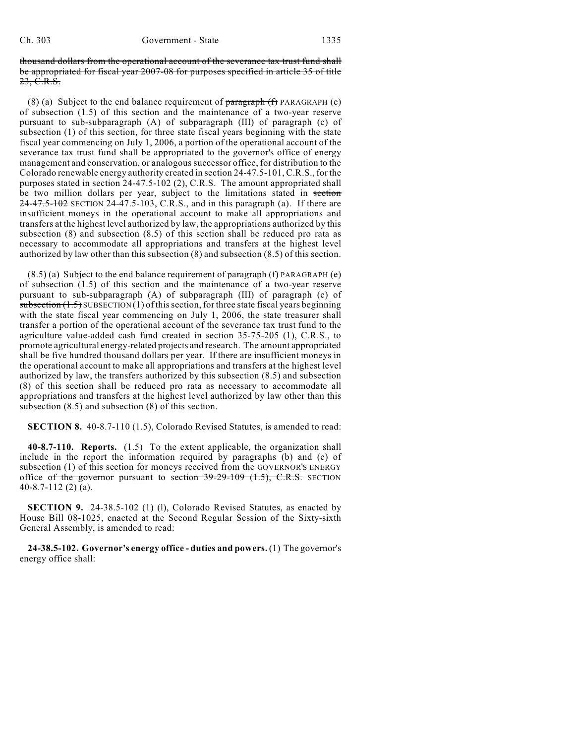thousand dollars from the operational account of the severance tax trust fund shall be appropriated for fiscal year 2007-08 for purposes specified in article 35 of title 23, C.R.S.

(8) (a) Subject to the end balance requirement of  $\frac{\text{parameter}}{\text{gradient}}$  (f) PARAGRAPH (e) of subsection (1.5) of this section and the maintenance of a two-year reserve pursuant to sub-subparagraph (A) of subparagraph (III) of paragraph (c) of subsection (1) of this section, for three state fiscal years beginning with the state fiscal year commencing on July 1, 2006, a portion of the operational account of the severance tax trust fund shall be appropriated to the governor's office of energy management and conservation, or analogous successor office, for distribution to the Colorado renewable energy authority created in section 24-47.5-101, C.R.S., for the purposes stated in section 24-47.5-102 (2), C.R.S. The amount appropriated shall be two million dollars per year, subject to the limitations stated in section  $24 - 47.5 - 102$  SECTION 24-47.5-103, C.R.S., and in this paragraph (a). If there are insufficient moneys in the operational account to make all appropriations and transfers at the highest level authorized by law, the appropriations authorized by this subsection (8) and subsection (8.5) of this section shall be reduced pro rata as necessary to accommodate all appropriations and transfers at the highest level authorized by law other than this subsection (8) and subsection (8.5) of this section.

 $(8.5)$  (a) Subject to the end balance requirement of paragraph  $(f)$  PARAGRAPH (e) of subsection (1.5) of this section and the maintenance of a two-year reserve pursuant to sub-subparagraph (A) of subparagraph (III) of paragraph (c) of subsection  $(1.5)$  SUBSECTION  $(1)$  of this section, for three state fiscal years beginning with the state fiscal year commencing on July 1, 2006, the state treasurer shall transfer a portion of the operational account of the severance tax trust fund to the agriculture value-added cash fund created in section 35-75-205 (1), C.R.S., to promote agricultural energy-related projects and research. The amount appropriated shall be five hundred thousand dollars per year. If there are insufficient moneys in the operational account to make all appropriations and transfers at the highest level authorized by law, the transfers authorized by this subsection (8.5) and subsection (8) of this section shall be reduced pro rata as necessary to accommodate all appropriations and transfers at the highest level authorized by law other than this subsection (8.5) and subsection (8) of this section.

**SECTION 8.** 40-8.7-110 (1.5), Colorado Revised Statutes, is amended to read:

**40-8.7-110. Reports.** (1.5) To the extent applicable, the organization shall include in the report the information required by paragraphs (b) and (c) of subsection (1) of this section for moneys received from the GOVERNOR'S ENERGY office of the governor pursuant to section  $39-29-109$  (1.5), C.R.S. SECTION 40-8.7-112 (2) (a).

**SECTION 9.** 24-38.5-102 (1) (1), Colorado Revised Statutes, as enacted by House Bill 08-1025, enacted at the Second Regular Session of the Sixty-sixth General Assembly, is amended to read:

**24-38.5-102. Governor's energy office - duties and powers.** (1) The governor's energy office shall: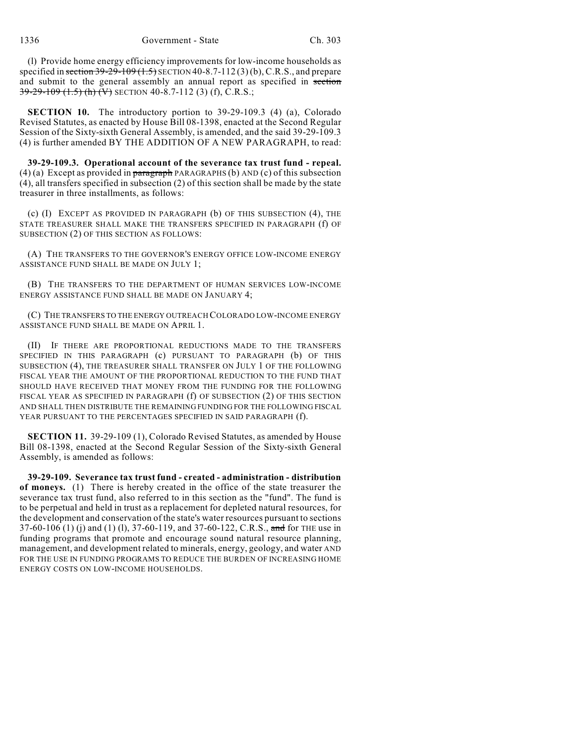(l) Provide home energy efficiency improvements for low-income households as specified in section  $39-29-109$  (1.5) SECTION 40-8.7-112 (3) (b), C.R.S., and prepare and submit to the general assembly an annual report as specified in section 39-29-109 (1.5) (h) (V) SECTION 40-8.7-112 (3) (f), C.R.S.;

**SECTION 10.** The introductory portion to 39-29-109.3 (4) (a), Colorado Revised Statutes, as enacted by House Bill 08-1398, enacted at the Second Regular Session of the Sixty-sixth General Assembly, is amended, and the said 39-29-109.3 (4) is further amended BY THE ADDITION OF A NEW PARAGRAPH, to read:

**39-29-109.3. Operational account of the severance tax trust fund - repeal.**  $(4)$  (a) Except as provided in paragraph PARAGRAPHS (b) AND (c) of this subsection (4), all transfers specified in subsection (2) of this section shall be made by the state treasurer in three installments, as follows:

(c) (I) EXCEPT AS PROVIDED IN PARAGRAPH (b) OF THIS SUBSECTION (4), THE STATE TREASURER SHALL MAKE THE TRANSFERS SPECIFIED IN PARAGRAPH (f) OF SUBSECTION (2) OF THIS SECTION AS FOLLOWS:

(A) THE TRANSFERS TO THE GOVERNOR'S ENERGY OFFICE LOW-INCOME ENERGY ASSISTANCE FUND SHALL BE MADE ON JULY 1;

(B) THE TRANSFERS TO THE DEPARTMENT OF HUMAN SERVICES LOW-INCOME ENERGY ASSISTANCE FUND SHALL BE MADE ON JANUARY 4;

(C) THE TRANSFERS TO THE ENERGY OUTREACH COLORADO LOW-INCOME ENERGY ASSISTANCE FUND SHALL BE MADE ON APRIL 1.

(II) IF THERE ARE PROPORTIONAL REDUCTIONS MADE TO THE TRANSFERS SPECIFIED IN THIS PARAGRAPH (c) PURSUANT TO PARAGRAPH (b) OF THIS SUBSECTION (4), THE TREASURER SHALL TRANSFER ON JULY 1 OF THE FOLLOWING FISCAL YEAR THE AMOUNT OF THE PROPORTIONAL REDUCTION TO THE FUND THAT SHOULD HAVE RECEIVED THAT MONEY FROM THE FUNDING FOR THE FOLLOWING FISCAL YEAR AS SPECIFIED IN PARAGRAPH (f) OF SUBSECTION (2) OF THIS SECTION AND SHALL THEN DISTRIBUTE THE REMAINING FUNDING FOR THE FOLLOWING FISCAL YEAR PURSUANT TO THE PERCENTAGES SPECIFIED IN SAID PARAGRAPH (f).

**SECTION 11.** 39-29-109 (1), Colorado Revised Statutes, as amended by House Bill 08-1398, enacted at the Second Regular Session of the Sixty-sixth General Assembly, is amended as follows:

**39-29-109. Severance tax trust fund - created - administration - distribution of moneys.** (1) There is hereby created in the office of the state treasurer the severance tax trust fund, also referred to in this section as the "fund". The fund is to be perpetual and held in trust as a replacement for depleted natural resources, for the development and conservation of the state's water resources pursuant to sections 37-60-106 (1) (i) and (1) (1), 37-60-119, and 37-60-122, C.R.S., and for THE use in funding programs that promote and encourage sound natural resource planning, management, and development related to minerals, energy, geology, and water AND FOR THE USE IN FUNDING PROGRAMS TO REDUCE THE BURDEN OF INCREASING HOME ENERGY COSTS ON LOW-INCOME HOUSEHOLDS.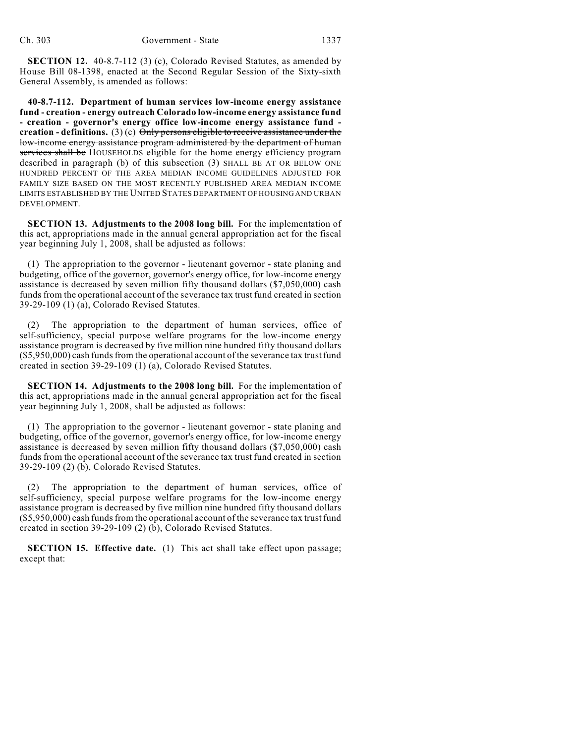**SECTION 12.** 40-8.7-112 (3) (c), Colorado Revised Statutes, as amended by House Bill 08-1398, enacted at the Second Regular Session of the Sixty-sixth General Assembly, is amended as follows:

**40-8.7-112. Department of human services low-income energy assistance fund - creation - energy outreach Colorado low-income energy assistance fund - creation - governor's energy office low-income energy assistance fund creation - definitions.** (3) (c)  $\Theta$ nly persons eligible to receive assistance under the low-income energy assistance program administered by the department of human services shall be HOUSEHOLDS eligible for the home energy efficiency program described in paragraph (b) of this subsection (3) SHALL BE AT OR BELOW ONE HUNDRED PERCENT OF THE AREA MEDIAN INCOME GUIDELINES ADJUSTED FOR FAMILY SIZE BASED ON THE MOST RECENTLY PUBLISHED AREA MEDIAN INCOME LIMITS ESTABLISHED BY THE UNITED STATES DEPARTMENT OF HOUSING AND URBAN DEVELOPMENT.

**SECTION 13. Adjustments to the 2008 long bill.** For the implementation of this act, appropriations made in the annual general appropriation act for the fiscal year beginning July 1, 2008, shall be adjusted as follows:

(1) The appropriation to the governor - lieutenant governor - state planing and budgeting, office of the governor, governor's energy office, for low-income energy assistance is decreased by seven million fifty thousand dollars (\$7,050,000) cash funds from the operational account of the severance tax trust fund created in section 39-29-109 (1) (a), Colorado Revised Statutes.

(2) The appropriation to the department of human services, office of self-sufficiency, special purpose welfare programs for the low-income energy assistance program is decreased by five million nine hundred fifty thousand dollars (\$5,950,000) cash funds from the operational account of the severance tax trust fund created in section 39-29-109 (1) (a), Colorado Revised Statutes.

**SECTION 14. Adjustments to the 2008 long bill.** For the implementation of this act, appropriations made in the annual general appropriation act for the fiscal year beginning July 1, 2008, shall be adjusted as follows:

(1) The appropriation to the governor - lieutenant governor - state planing and budgeting, office of the governor, governor's energy office, for low-income energy assistance is decreased by seven million fifty thousand dollars (\$7,050,000) cash funds from the operational account of the severance tax trust fund created in section 39-29-109 (2) (b), Colorado Revised Statutes.

(2) The appropriation to the department of human services, office of self-sufficiency, special purpose welfare programs for the low-income energy assistance program is decreased by five million nine hundred fifty thousand dollars (\$5,950,000) cash funds from the operational account of the severance tax trust fund created in section 39-29-109 (2) (b), Colorado Revised Statutes.

**SECTION 15. Effective date.** (1) This act shall take effect upon passage; except that: